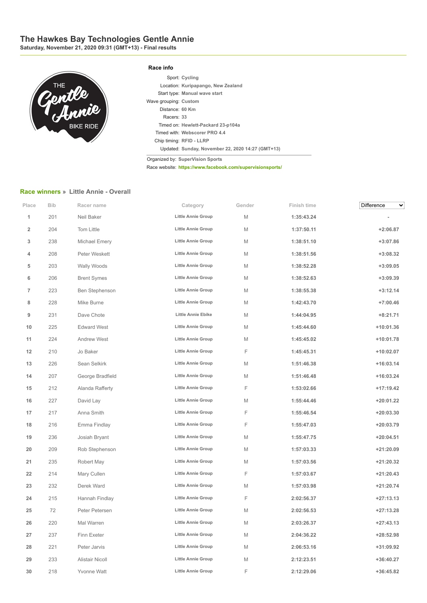## **The Hawkes Bay Technologies Gentle Annie**

**Saturday, November 21, 2020 09:31 (GMT+13) - Final results**



## **Race info**

|                       | Sport: Cycling                                    |
|-----------------------|---------------------------------------------------|
|                       | Location: Kuripapango, New Zealand                |
|                       | Start type: Manual wave start                     |
| Wave grouping: Custom |                                                   |
| Distance: 60 Km       |                                                   |
| Racers: 33            |                                                   |
|                       | Timed on: Hewlett-Packard 23-p104a                |
|                       | Timed with: Webscorer PRO 4.4                     |
|                       | Chip timing: RFID - LLRP                          |
|                       | Updated: Sunday, November 22, 2020 14:27 (GMT+13) |

Organized by: **SuperVision Sports**

Race website: **https://www.facebook.com/supervisionsports/**

## **Race winners » Little Annie - Overall**

| Place                   | Bib | Racer name             | Category                  | Gender      | Finish time | Difference<br>╰ |
|-------------------------|-----|------------------------|---------------------------|-------------|-------------|-----------------|
| 1                       | 201 | Neil Baker             | Little Annie Group        | M           | 1:35:43.24  |                 |
| $\overline{\mathbf{2}}$ | 204 | Tom Little             | <b>Little Annie Group</b> | M           | 1:37:50.11  | $+2:06.87$      |
| 3                       | 238 | Michael Emery          | Little Annie Group        | Μ           | 1:38:51.10  | $+3:07.86$      |
| 4                       | 208 | Peter Weskett          | <b>Little Annie Group</b> | M           | 1:38:51.56  | +3:08.32        |
| 5                       | 203 | Wally Woods            | <b>Little Annie Group</b> | M           | 1:38:52.28  | $+3:09.05$      |
| 6                       | 206 | <b>Brent Symes</b>     | Little Annie Group        | М           | 1:38:52.63  | $+3:09.39$      |
| 7                       | 223 | Ben Stephenson         | <b>Little Annie Group</b> | M           | 1:38:55.38  | $+3:12.14$      |
| 8                       | 228 | Mike Burne             | Little Annie Group        | М           | 1:42:43.70  | $+7:00.46$      |
| 9                       | 231 | Dave Chote             | <b>Little Annie Ebike</b> | M           | 1:44:04.95  | $+8:21.71$      |
| 10                      | 225 | <b>Edward West</b>     | <b>Little Annie Group</b> | M           | 1:45:44.60  | $+10:01.36$     |
| 11                      | 224 | Andrew West            | <b>Little Annie Group</b> | М           | 1:45:45.02  | $+10:01.78$     |
| 12                      | 210 | Jo Baker               | <b>Little Annie Group</b> | F           | 1:45:45.31  | $+10:02.07$     |
| 13                      | 226 | Sean Selkirk           | <b>Little Annie Group</b> | M           | 1:51:46.38  | $+16:03.14$     |
| 14                      | 207 | George Bradfield       | <b>Little Annie Group</b> | M           | 1:51:46.48  | $+16:03.24$     |
| 15                      | 212 | Alanda Rafferty        | <b>Little Annie Group</b> | F           | 1:53:02.66  | $+17:19.42$     |
| 16                      | 227 | David Lay              | <b>Little Annie Group</b> | M           | 1:55:44.46  | $+20:01.22$     |
| 17                      | 217 | Anna Smith             | <b>Little Annie Group</b> | F           | 1:55:46.54  | $+20:03.30$     |
| 18                      | 216 | Emma Findlay           | <b>Little Annie Group</b> | F           | 1:55:47.03  | $+20:03.79$     |
| 19                      | 236 | Josiah Bryant          | <b>Little Annie Group</b> | Μ           | 1:55:47.75  | $+20:04.51$     |
| 20                      | 209 | Rob Stephenson         | <b>Little Annie Group</b> | M           | 1:57:03.33  | $+21:20.09$     |
| 21                      | 235 | Robert May             | <b>Little Annie Group</b> | М           | 1:57:03.56  | $+21:20.32$     |
| 22                      | 214 | Mary Cullen            | Little Annie Group        | F           | 1:57:03.67  | $+21:20.43$     |
| 23                      | 232 | Derek Ward             | <b>Little Annie Group</b> | M           | 1:57:03.98  | $+21:20.74$     |
| 24                      | 215 | Hannah Findlay         | Little Annie Group        | F           | 2:02:56.37  | $+27:13.13$     |
| 25                      | 72  | Peter Petersen         | <b>Little Annie Group</b> | Μ           | 2:02:56.53  | $+27:13.28$     |
| 26                      | 220 | Mal Warren             | <b>Little Annie Group</b> | M           | 2:03:26.37  | $+27:43.13$     |
| 27                      | 237 | Finn Exeter            | <b>Little Annie Group</b> | $\mathbb M$ | 2:04:36.22  | $+28:52.98$     |
| 28                      | 221 | Peter Jarvis           | <b>Little Annie Group</b> | M           | 2:06:53.16  | +31:09.92       |
| 29                      | 233 | <b>Alistair Nicoll</b> | Little Annie Group        | M           | 2:12:23.51  | $+36:40.27$     |
| 30                      | 218 | Yvonne Watt            | Little Annie Group        | F           | 2:12:29.06  | $+36:45.82$     |